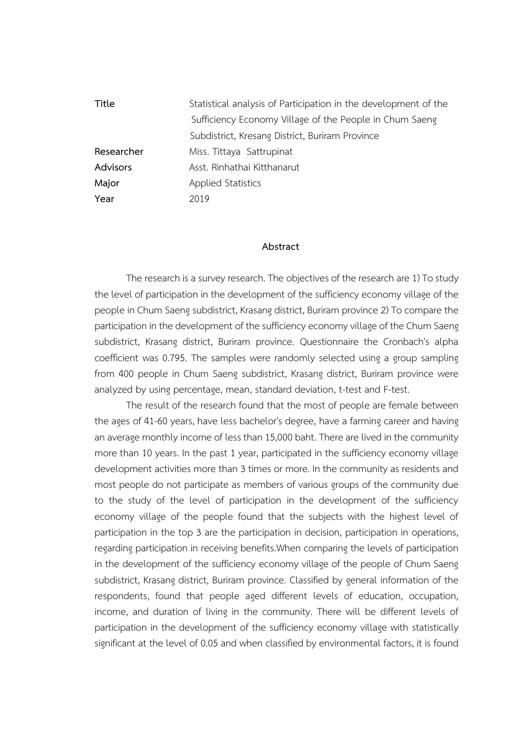| Title      | Statistical analysis of Participation in the development of the |
|------------|-----------------------------------------------------------------|
|            | Sufficiency Economy Village of the People in Chum Saeng         |
|            | Subdistrict, Kresang District, Buriram Province                 |
| Researcher | Miss. Tittaya Sattrupinat                                       |
| Advisors   | Asst. Rinhathai Kitthanarut                                     |
| Major      | Applied Statistics                                              |
| Year       | 2019                                                            |
|            |                                                                 |

## **Abstract**

The research is a survey research. The objectives of the research are 1) To study the level of participation in the development of the sufficiency economy village of the people in Chum Saeng subdistrict, Krasang district, Buriram province 2) To compare the participation in the development of the sufficiency economy village of the Chum Saeng subdistrict, Krasang district, Buriram province. Questionnaire the Cronbach's alpha coefficient was 0.795. The samples were randomly selected using a group sampling from 400 people in Chum Saeng subdistrict, Krasang district, Buriram province were analyzed by using percentage, mean, standard deviation, t-test and F-test.

The result of the research found that the most of people are female between the ages of 41-60 years, have less bachelor's degree, have a farming career and having an average monthly income of less than 15,000 baht. There are lived in the community more than 10 years. In the past 1 year, participated in the sufficiency economy village development activities more than 3 times or more. In the community as residents and most people do not participate as members of various groups of the community due to the study of the level of participation in the development of the sufficiency economy village of the people found that the subjects with the highest level of participation in the top 3 are the participation in decision, participation in operations, regarding participation in receiving benefits.When comparing the levels of participation in the development of the sufficiency economy village of the people of Chum Saeng subdistrict, Krasang district, Buriram province. Classified by general information of the respondents, found that people aged different levels of education, occupation, income, and duration of living in the community. There will be different levels of participation in the development of the sufficiency economy village with statistically significant at the level of 0.05 and when classified by environmental factors, it is found